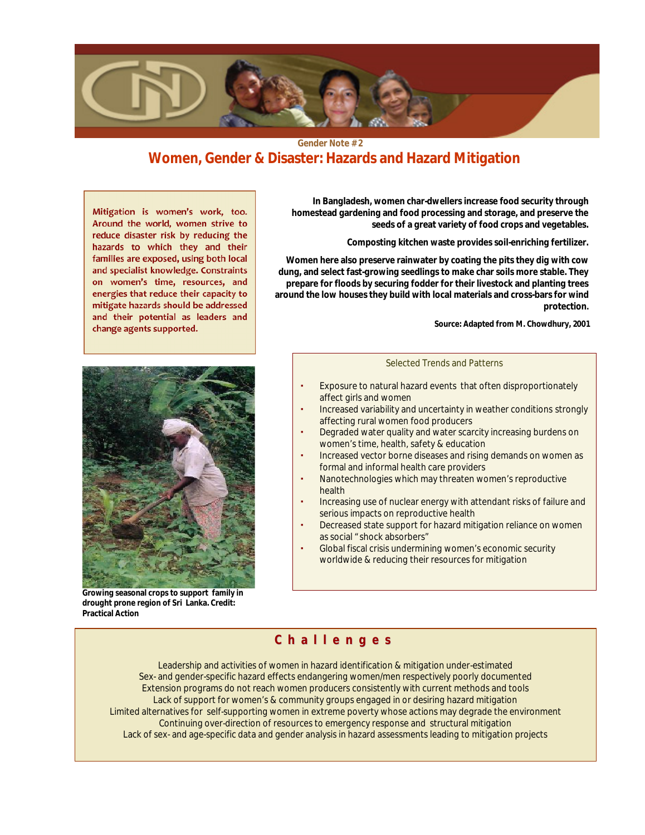

**Gender Note # 2**

## **Women, Gender & Disaster: Hazards and Hazard Mitigation**

**Mitigation is women's work, too. Around the world, women strive to reduce disaster risk by reducing the hazards to which they and their families are exposed, using both local and specialist knowledge. Constraints on women's time, resources, and energies that reduce their capacity to mitigate hazards should be addressed and their potential as leaders and change agents supported.**



**Growing seasonal crops to support family in drought prone region of Sri Lanka. Credit: Practical Action**

**In Bangladesh, women char-dwellers increase food security through homestead gardening and food processing and storage, and preserve the seeds of a great variety of food crops and vegetables.**

**Composting kitchen waste provides soil-enriching fertilizer.**

**Women here also preserve rainwater by coating the pits they dig with cow dung, and select fast-growing seedlings to make char soils more stable. They prepare for floods by securing fodder for their livestock and planting trees around the low houses they build with local materials and cross-bars for wind protection.**

**Source: Adapted from M. Chowdhury, 2001**

#### Selected Trends and Patterns

- Exposure to natural hazard events that often disproportionately affect girls and women
- Increased variability and uncertainty in weather conditions strongly affecting rural women food producers
- Degraded water quality and water scarcity increasing burdens on women's time, health, safety & education
- Increased vector borne diseases and rising demands on women as formal and informal health care providers
- Nanotechnologies which may threaten women's reproductive health
- Increasing use of nuclear energy with attendant risks of failure and serious impacts on reproductive health
- Decreased state support for hazard mitigation reliance on women as social "shock absorbers"
- Global fiscal crisis undermining women's economic security worldwide & reducing their resources for mitigation

## **C h a l l e n g e s**

Leadership and activities of women in hazard identification & mitigation under-estimated Sex- and gender-specific hazard effects endangering women/men respectively poorly documented Extension programs do not reach women producers consistently with current methods and tools Lack of support for women's & community groups engaged in or desiring hazard mitigation Limited alternatives for self-supporting women in extreme poverty whose actions may degrade the environment Continuing over-direction of resources to emergency response and structural mitigation Lack of sex- and age-specific data and gender analysis in hazard assessments leading to mitigation projects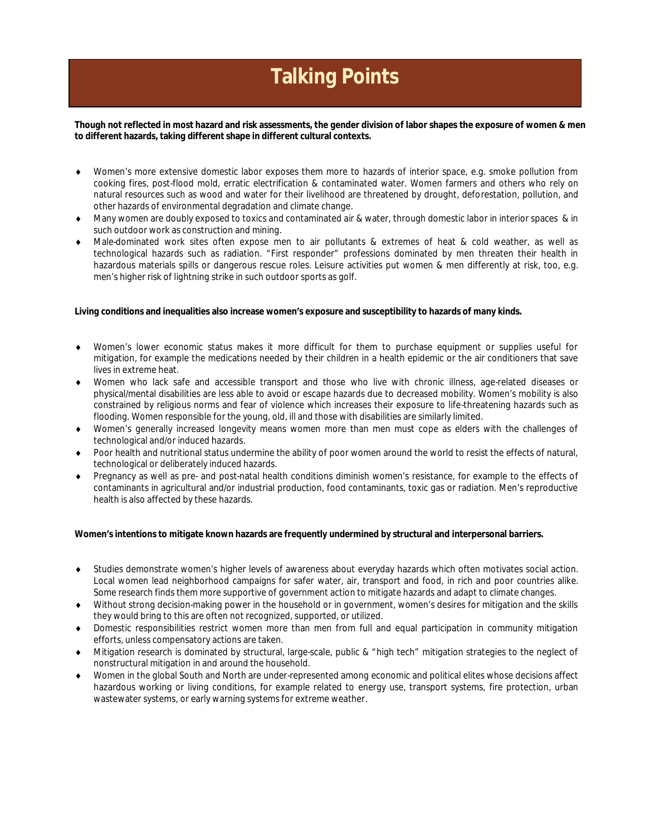# **Talking Points**

**Though not reflected in most hazard and risk assessments, the gender division of labor shapes the exposure of women & men to different hazards, taking different shape in different cultural contexts.**

- Women's more extensive domestic labor exposes them more to hazards of interior space, e.g. smoke pollution from cooking fires, post-flood mold, erratic electrification & contaminated water. Women farmers and others who rely on natural resources such as wood and water for their livelihood are threatened by drought, deforestation, pollution, and other hazards of environmental degradation and climate change.
- Many women are doubly exposed to toxics and contaminated air & water, through domestic labor in interior spaces & in such outdoor work as construction and mining.
- Male-dominated work sites often expose men to air pollutants & extremes of heat & cold weather, as well as technological hazards such as radiation. "First responder" professions dominated by men threaten their health in hazardous materials spills or dangerous rescue roles. Leisure activities put women & men differently at risk, too, e.g. men's higher risk of lightning strike in such outdoor sports as golf.

**Living conditions and inequalities also increase women's exposure and susceptibility to hazards of many kinds.**

- Women's lower economic status makes it more difficult for them to purchase equipment or supplies useful for mitigation, for example the medications needed by their children in a health epidemic or the air conditioners that save lives in extreme heat.
- Women who lack safe and accessible transport and those who live with chronic illness, age-related diseases or physical/mental disabilities are less able to avoid or escape hazards due to decreased mobility. Women's mobility is also constrained by religious norms and fear of violence which increases their exposure to life-threatening hazards such as flooding. Women responsible for the young, old, ill and those with disabilities are similarly limited.
- Women's generally increased longevity means women more than men must cope as elders with the challenges of technological and/or induced hazards.
- Poor health and nutritional status undermine the ability of poor women around the world to resist the effects of natural, technological or deliberately induced hazards.
- Pregnancy as well as pre- and post-natal health conditions diminish women's resistance, for example to the effects of contaminants in agricultural and/or industrial production, food contaminants, toxic gas or radiation. Men's reproductive health is also affected by these hazards.

**Women's intentions to mitigate known hazards are frequently undermined by structural and interpersonal barriers.**

- Studies demonstrate women's higher levels of awareness about everyday hazards which often motivates social action. Local women lead neighborhood campaigns for safer water, air, transport and food, in rich and poor countries alike. Some research finds them more supportive of government action to mitigate hazards and adapt to climate changes.
- Without strong decision-making power in the household or in government, women's desires for mitigation and the skills they would bring to this are often not recognized, supported, or utilized.
- Domestic responsibilities restrict women more than men from full and equal participation in community mitigation efforts, unless compensatory actions are taken.
- Mitigation research is dominated by structural, large-scale, public & "high tech" mitigation strategies to the neglect of nonstructural mitigation in and around the household.
- Women in the global South and North are under-represented among economic and political elites whose decisions affect hazardous working or living conditions, for example related to energy use, transport systems, fire protection, urban wastewater systems, or early warning systems for extreme weather.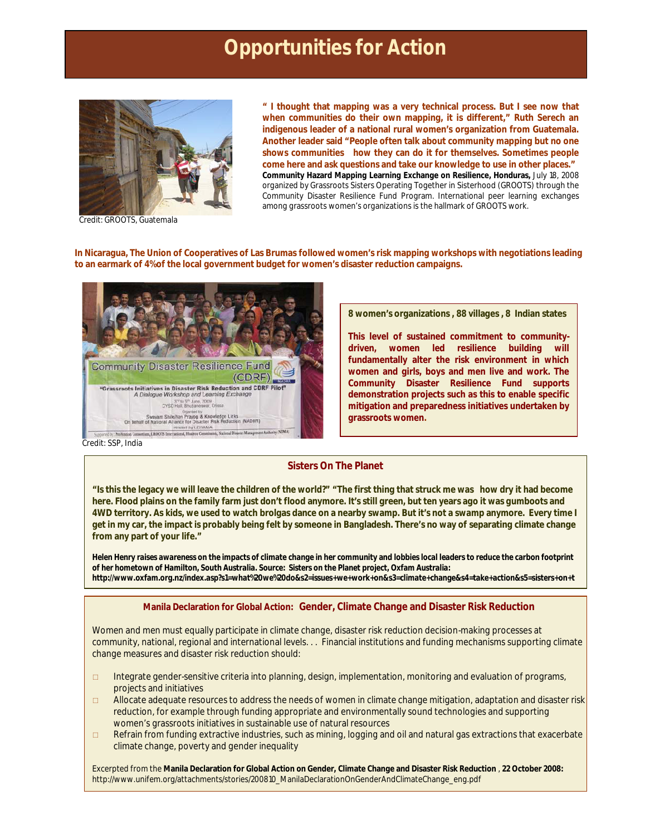• I thought that mapping was a very technical process. But I see ow that when communities do their own mapping, it is different,, Ruth Serech an indigenous leader of a national rural women€s organization from Guatemala. Another leader said •People often talk about community mapping but no one shows communities how the can do it for themselves. Sometimes people come here and ask questions and take our knowledge to use in other places.. Community Hazard Mapping Learning Exchange on Resilience Honduras, July 18, 2008 organized by Grassroots Sistersporating Together inSisterhood (GROOTS) through the Community Disaster Resilience Fund deram. International peer learning exchanges among grassroots women€s organizations is the hallmark of GROOTS work.

#### Credit: GROOTS, Guatemala

In Nicaragua, The Union of Cooperatives of Las Brum tastowed women€s risk mapping workshops with negotiations leading to anearmark of 4% of the local government budget for women€s disaster reduction campaigns.

8 women€s organizations, 88 villages, 8 Indian state

This level of sustained commitment to communitydriven, women led resilience building will fundamentally alter the risk environment in which women and girls, boys and men live and work. The Community Disaster Resilience Fund supports demonstration projects such **a** this to enable **pecific** mitigation and preparedness initiativesundertaken by grassroots women.

Credt: SSP, India

he+planet

#### Sisters On The Planet

•Is this the legacy we will leave the children of the world?'•The first thing that struck me was how dry it had become here. Flood plains on the family farm just don€t flood anymore. It€s still green, but ten years ago it was gumboots and 4WD territory. As kids, we used to watch brolgas dance on a nearby swamp. But it€s not a swamp anymore. Every tir get in my car, the impact is probably being felt by someone in Bangladesh. There€s no way of separating climate chan from any part of your life.,

Helen Henrvaises awareness on the impacts of climat bange in her community and lobbies local leaders to reduce the carbon footprint of her hometown of Hamilton, South Australia Source: Sisters on the Planet projec Oxfam Australia <http://www.oxfam.org.nz/index.asp>?s1=what%20we%20do&s2=issues+we+work+on&s3=climate+change&s4=take+action&s5=siste

Manila Declaration forGlobal Action: Gender, Climate Change and Disaster Risk Reduction

Women and men must equally participate in climate change, disaster risk reduction decisial king processes at community, national, regional and international levels. .Financial instituions and funding mechanisms supporting climat change measures and disaster risk reduction should:

- ð\* Integrate gender-sensitive criteria into planning, design, implementation, monitoring and evaluation of programs, projects and initiatives
- $\delta^*$  Allocate adequate resources to address the needs of women in climate change mitigation, adaptation and disaste reduction, for example through funding appropriate and environmentally sound technologies and supporting women€s grassroots initiatives in sustainable usf natural resources
- $\delta^*$  Refrain from funding extractive industries, such as mining, logging and oil and natural gas extractions that exacer climate change, poverty and gender inequality

Excerpted from theManila Declaration for Global Action on GendeClimate Change and Disaster Risk Reduction, 2008: [http://www.unifem.org/attachments/stories/200810\\_ManilaDeclarationOnGenderAndClimateChange\\_eng](http://www.unifem.org/attachments/stories/200810_ManilaDeclarationOnGenderAndClimateChange_eng.pdf).pdf